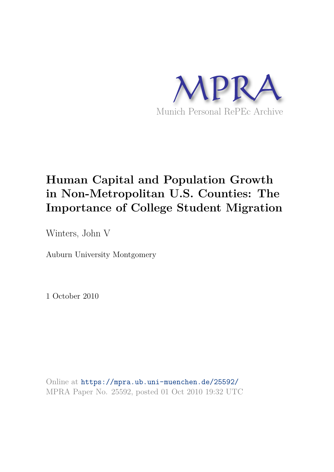

## **Human Capital and Population Growth in Non-Metropolitan U.S. Counties: The Importance of College Student Migration**

Winters, John V

Auburn University Montgomery

1 October 2010

Online at https://mpra.ub.uni-muenchen.de/25592/ MPRA Paper No. 25592, posted 01 Oct 2010 19:32 UTC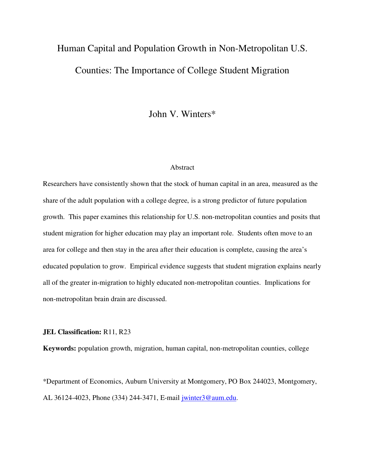# Human Capital and Population Growth in Non-Metropolitan U.S. Counties: The Importance of College Student Migration

John V. Winters\*

## Abstract

Researchers have consistently shown that the stock of human capital in an area, measured as the share of the adult population with a college degree, is a strong predictor of future population growth. This paper examines this relationship for U.S. non-metropolitan counties and posits that student migration for higher education may play an important role. Students often move to an area for college and then stay in the area after their education is complete, causing the area's educated population to grow. Empirical evidence suggests that student migration explains nearly all of the greater in-migration to highly educated non-metropolitan counties. Implications for non-metropolitan brain drain are discussed.

## **JEL Classification:** R11, R23

**Keywords:** population growth, migration, human capital, non-metropolitan counties, college

\*Department of Economics, Auburn University at Montgomery, PO Box 244023, Montgomery, AL 36124-4023, Phone (334) 244-3471, E-mail jwinter3@aum.edu.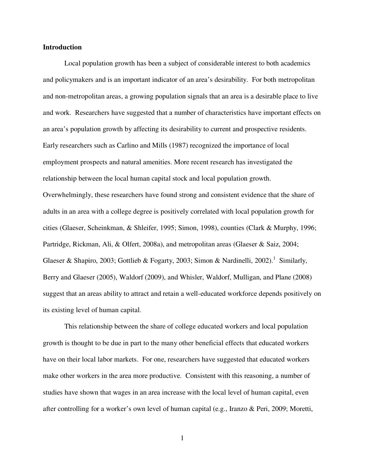## **Introduction**

Local population growth has been a subject of considerable interest to both academics and policymakers and is an important indicator of an area's desirability. For both metropolitan and non-metropolitan areas, a growing population signals that an area is a desirable place to live and work. Researchers have suggested that a number of characteristics have important effects on an area's population growth by affecting its desirability to current and prospective residents. Early researchers such as Carlino and Mills (1987) recognized the importance of local employment prospects and natural amenities. More recent research has investigated the relationship between the local human capital stock and local population growth. Overwhelmingly, these researchers have found strong and consistent evidence that the share of adults in an area with a college degree is positively correlated with local population growth for cities (Glaeser, Scheinkman, & Shleifer, 1995; Simon, 1998), counties (Clark & Murphy, 1996; Partridge, Rickman, Ali, & Olfert, 2008a), and metropolitan areas (Glaeser & Saiz, 2004; Glaeser & Shapiro, 2003; Gottlieb & Fogarty, 2003; Simon & Nardinelli, 2002).<sup>1</sup> Similarly, Berry and Glaeser (2005), Waldorf (2009), and Whisler, Waldorf, Mulligan, and Plane (2008) suggest that an areas ability to attract and retain a well-educated workforce depends positively on its existing level of human capital.

This relationship between the share of college educated workers and local population growth is thought to be due in part to the many other beneficial effects that educated workers have on their local labor markets. For one, researchers have suggested that educated workers make other workers in the area more productive. Consistent with this reasoning, a number of studies have shown that wages in an area increase with the local level of human capital, even after controlling for a worker's own level of human capital (e.g., Iranzo & Peri, 2009; Moretti,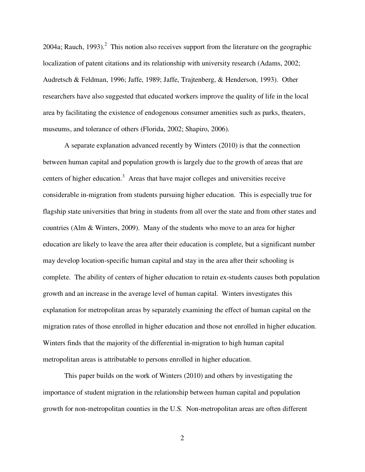2004a; Rauch, 1993).<sup>2</sup> This notion also receives support from the literature on the geographic localization of patent citations and its relationship with university research (Adams, 2002; Audretsch & Feldman, 1996; Jaffe, 1989; Jaffe, Trajtenberg, & Henderson, 1993). Other researchers have also suggested that educated workers improve the quality of life in the local area by facilitating the existence of endogenous consumer amenities such as parks, theaters, museums, and tolerance of others (Florida, 2002; Shapiro, 2006).

 A separate explanation advanced recently by Winters (2010) is that the connection between human capital and population growth is largely due to the growth of areas that are centers of higher education.<sup>3</sup> Areas that have major colleges and universities receive considerable in-migration from students pursuing higher education. This is especially true for flagship state universities that bring in students from all over the state and from other states and countries (Alm & Winters, 2009). Many of the students who move to an area for higher education are likely to leave the area after their education is complete, but a significant number may develop location-specific human capital and stay in the area after their schooling is complete. The ability of centers of higher education to retain ex-students causes both population growth and an increase in the average level of human capital. Winters investigates this explanation for metropolitan areas by separately examining the effect of human capital on the migration rates of those enrolled in higher education and those not enrolled in higher education. Winters finds that the majority of the differential in-migration to high human capital metropolitan areas is attributable to persons enrolled in higher education.

 This paper builds on the work of Winters (2010) and others by investigating the importance of student migration in the relationship between human capital and population growth for non-metropolitan counties in the U.S. Non-metropolitan areas are often different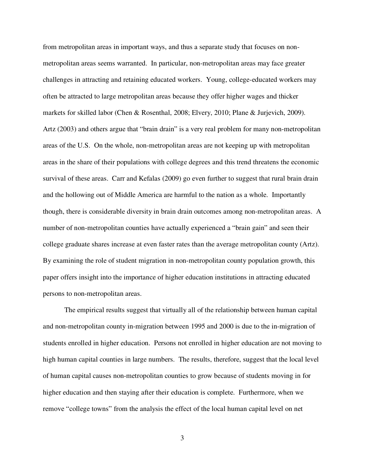from metropolitan areas in important ways, and thus a separate study that focuses on nonmetropolitan areas seems warranted. In particular, non-metropolitan areas may face greater challenges in attracting and retaining educated workers. Young, college-educated workers may often be attracted to large metropolitan areas because they offer higher wages and thicker markets for skilled labor (Chen & Rosenthal, 2008; Elvery, 2010; Plane & Jurjevich, 2009). Artz (2003) and others argue that "brain drain" is a very real problem for many non-metropolitan areas of the U.S. On the whole, non-metropolitan areas are not keeping up with metropolitan areas in the share of their populations with college degrees and this trend threatens the economic survival of these areas. Carr and Kefalas (2009) go even further to suggest that rural brain drain and the hollowing out of Middle America are harmful to the nation as a whole. Importantly though, there is considerable diversity in brain drain outcomes among non-metropolitan areas. A number of non-metropolitan counties have actually experienced a "brain gain" and seen their college graduate shares increase at even faster rates than the average metropolitan county (Artz). By examining the role of student migration in non-metropolitan county population growth, this paper offers insight into the importance of higher education institutions in attracting educated persons to non-metropolitan areas.

The empirical results suggest that virtually all of the relationship between human capital and non-metropolitan county in-migration between 1995 and 2000 is due to the in-migration of students enrolled in higher education. Persons not enrolled in higher education are not moving to high human capital counties in large numbers. The results, therefore, suggest that the local level of human capital causes non-metropolitan counties to grow because of students moving in for higher education and then staying after their education is complete. Furthermore, when we remove "college towns" from the analysis the effect of the local human capital level on net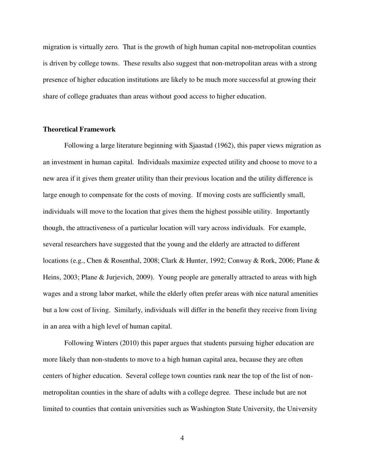migration is virtually zero. That is the growth of high human capital non-metropolitan counties is driven by college towns. These results also suggest that non-metropolitan areas with a strong presence of higher education institutions are likely to be much more successful at growing their share of college graduates than areas without good access to higher education.

## **Theoretical Framework**

Following a large literature beginning with Sjaastad (1962), this paper views migration as an investment in human capital. Individuals maximize expected utility and choose to move to a new area if it gives them greater utility than their previous location and the utility difference is large enough to compensate for the costs of moving. If moving costs are sufficiently small, individuals will move to the location that gives them the highest possible utility. Importantly though, the attractiveness of a particular location will vary across individuals. For example, several researchers have suggested that the young and the elderly are attracted to different locations (e.g., Chen & Rosenthal, 2008; Clark & Hunter, 1992; Conway & Rork, 2006; Plane & Heins, 2003; Plane & Jurjevich, 2009). Young people are generally attracted to areas with high wages and a strong labor market, while the elderly often prefer areas with nice natural amenities but a low cost of living. Similarly, individuals will differ in the benefit they receive from living in an area with a high level of human capital.

Following Winters (2010) this paper argues that students pursuing higher education are more likely than non-students to move to a high human capital area, because they are often centers of higher education. Several college town counties rank near the top of the list of nonmetropolitan counties in the share of adults with a college degree. These include but are not limited to counties that contain universities such as Washington State University, the University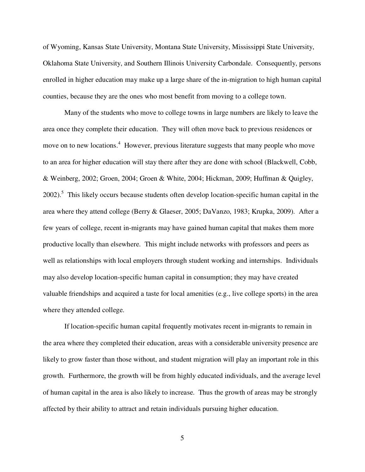of Wyoming, Kansas State University, Montana State University, Mississippi State University, Oklahoma State University, and Southern Illinois University Carbondale. Consequently, persons enrolled in higher education may make up a large share of the in-migration to high human capital counties, because they are the ones who most benefit from moving to a college town.

 Many of the students who move to college towns in large numbers are likely to leave the area once they complete their education. They will often move back to previous residences or move on to new locations.<sup>4</sup> However, previous literature suggests that many people who move to an area for higher education will stay there after they are done with school (Blackwell, Cobb, & Weinberg, 2002; Groen, 2004; Groen & White, 2004; Hickman, 2009; Huffman & Quigley, 2002).<sup>5</sup> This likely occurs because students often develop location-specific human capital in the area where they attend college (Berry & Glaeser, 2005; DaVanzo, 1983; Krupka, 2009). After a few years of college, recent in-migrants may have gained human capital that makes them more productive locally than elsewhere. This might include networks with professors and peers as well as relationships with local employers through student working and internships. Individuals may also develop location-specific human capital in consumption; they may have created valuable friendships and acquired a taste for local amenities (e.g., live college sports) in the area where they attended college.

If location-specific human capital frequently motivates recent in-migrants to remain in the area where they completed their education, areas with a considerable university presence are likely to grow faster than those without, and student migration will play an important role in this growth. Furthermore, the growth will be from highly educated individuals, and the average level of human capital in the area is also likely to increase. Thus the growth of areas may be strongly affected by their ability to attract and retain individuals pursuing higher education.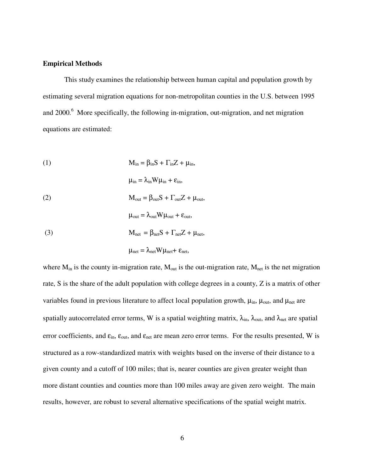## **Empirical Methods**

This study examines the relationship between human capital and population growth by estimating several migration equations for non-metropolitan counties in the U.S. between 1995 and  $2000$ .<sup>6</sup> More specifically, the following in-migration, out-migration, and net migration equations are estimated:

(1) 
$$
M_{in} = \beta_{in} S + \Gamma_{in} Z + \mu_{in},
$$

(2) 
$$
M_{out} = \beta_{out} S + \Gamma_{out} Z + \mu_{out},
$$

(3) 
$$
M_{\text{net}} = \beta_{\text{net}} S + \Gamma_{\text{net}} Z + \mu_{\text{net}},
$$

$$
\mu_{net} = \lambda_{net} W \mu_{net} + \epsilon_{net},
$$

 $\mu_{\text{out}} = \lambda_{\text{out}} W \mu_{\text{out}} + \varepsilon_{\text{out}}$ 

 $\mu_{in} = \lambda_{in} W \mu_{in} + \varepsilon_{in}$ 

where  $M_{in}$  is the county in-migration rate,  $M_{out}$  is the out-migration rate,  $M_{net}$  is the net migration rate, S is the share of the adult population with college degrees in a county, Z is a matrix of other variables found in previous literature to affect local population growth,  $\mu_{in}$ ,  $\mu_{out}$ , and  $\mu_{net}$  are spatially autocorrelated error terms, W is a spatial weighting matrix,  $\lambda_{in}$ ,  $\lambda_{out}$ , and  $\lambda_{net}$  are spatial error coefficients, and  $\varepsilon_{\text{in}}$ ,  $\varepsilon_{\text{out}}$ , and  $\varepsilon_{\text{net}}$  are mean zero error terms. For the results presented, W is structured as a row-standardized matrix with weights based on the inverse of their distance to a given county and a cutoff of 100 miles; that is, nearer counties are given greater weight than more distant counties and counties more than 100 miles away are given zero weight. The main results, however, are robust to several alternative specifications of the spatial weight matrix.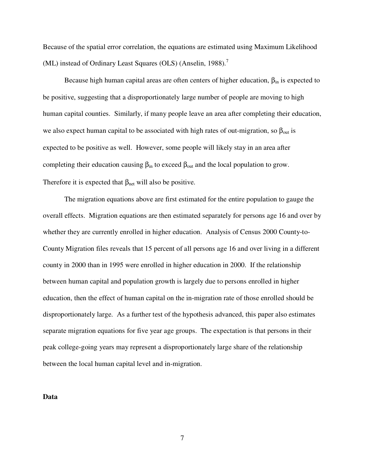Because of the spatial error correlation, the equations are estimated using Maximum Likelihood (ML) instead of Ordinary Least Squares (OLS) (Anselin, 1988).<sup>7</sup>

Because high human capital areas are often centers of higher education,  $\beta_{in}$  is expected to be positive, suggesting that a disproportionately large number of people are moving to high human capital counties. Similarly, if many people leave an area after completing their education, we also expect human capital to be associated with high rates of out-migration, so  $\beta_{out}$  is expected to be positive as well. However, some people will likely stay in an area after completing their education causing  $\beta_{in}$  to exceed  $\beta_{out}$  and the local population to grow. Therefore it is expected that  $\beta_{net}$  will also be positive.

 The migration equations above are first estimated for the entire population to gauge the overall effects. Migration equations are then estimated separately for persons age 16 and over by whether they are currently enrolled in higher education. Analysis of Census 2000 County-to-County Migration files reveals that 15 percent of all persons age 16 and over living in a different county in 2000 than in 1995 were enrolled in higher education in 2000. If the relationship between human capital and population growth is largely due to persons enrolled in higher education, then the effect of human capital on the in-migration rate of those enrolled should be disproportionately large. As a further test of the hypothesis advanced, this paper also estimates separate migration equations for five year age groups. The expectation is that persons in their peak college-going years may represent a disproportionately large share of the relationship between the local human capital level and in-migration.

**Data**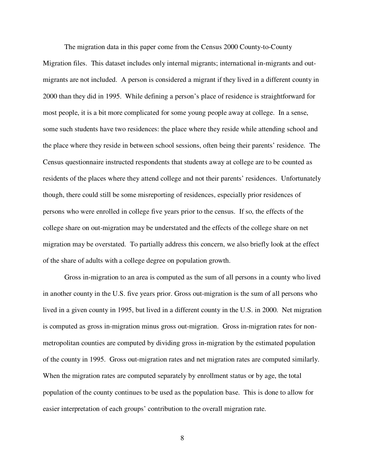The migration data in this paper come from the Census 2000 County-to-County Migration files. This dataset includes only internal migrants; international in-migrants and outmigrants are not included. A person is considered a migrant if they lived in a different county in 2000 than they did in 1995. While defining a person's place of residence is straightforward for most people, it is a bit more complicated for some young people away at college. In a sense, some such students have two residences: the place where they reside while attending school and the place where they reside in between school sessions, often being their parents' residence. The Census questionnaire instructed respondents that students away at college are to be counted as residents of the places where they attend college and not their parents' residences. Unfortunately though, there could still be some misreporting of residences, especially prior residences of persons who were enrolled in college five years prior to the census. If so, the effects of the college share on out-migration may be understated and the effects of the college share on net migration may be overstated. To partially address this concern, we also briefly look at the effect of the share of adults with a college degree on population growth.

Gross in-migration to an area is computed as the sum of all persons in a county who lived in another county in the U.S. five years prior. Gross out-migration is the sum of all persons who lived in a given county in 1995, but lived in a different county in the U.S. in 2000. Net migration is computed as gross in-migration minus gross out-migration. Gross in-migration rates for nonmetropolitan counties are computed by dividing gross in-migration by the estimated population of the county in 1995. Gross out-migration rates and net migration rates are computed similarly. When the migration rates are computed separately by enrollment status or by age, the total population of the county continues to be used as the population base. This is done to allow for easier interpretation of each groups' contribution to the overall migration rate.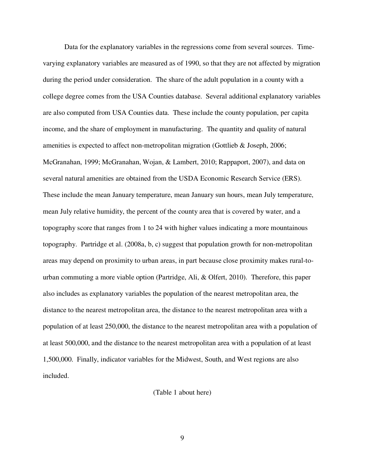Data for the explanatory variables in the regressions come from several sources. Timevarying explanatory variables are measured as of 1990, so that they are not affected by migration during the period under consideration. The share of the adult population in a county with a college degree comes from the USA Counties database. Several additional explanatory variables are also computed from USA Counties data. These include the county population, per capita income, and the share of employment in manufacturing. The quantity and quality of natural amenities is expected to affect non-metropolitan migration (Gottlieb & Joseph, 2006; McGranahan, 1999; McGranahan, Wojan, & Lambert, 2010; Rappaport, 2007), and data on several natural amenities are obtained from the USDA Economic Research Service (ERS). These include the mean January temperature, mean January sun hours, mean July temperature, mean July relative humidity, the percent of the county area that is covered by water, and a topography score that ranges from 1 to 24 with higher values indicating a more mountainous topography. Partridge et al. (2008a, b, c) suggest that population growth for non-metropolitan areas may depend on proximity to urban areas, in part because close proximity makes rural-tourban commuting a more viable option (Partridge, Ali, & Olfert, 2010). Therefore, this paper also includes as explanatory variables the population of the nearest metropolitan area, the distance to the nearest metropolitan area, the distance to the nearest metropolitan area with a population of at least 250,000, the distance to the nearest metropolitan area with a population of at least 500,000, and the distance to the nearest metropolitan area with a population of at least 1,500,000. Finally, indicator variables for the Midwest, South, and West regions are also included.

## (Table 1 about here)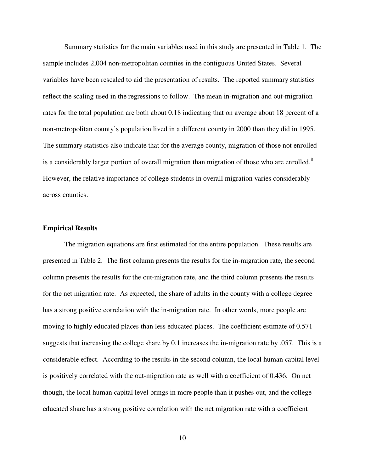Summary statistics for the main variables used in this study are presented in Table 1. The sample includes 2,004 non-metropolitan counties in the contiguous United States. Several variables have been rescaled to aid the presentation of results. The reported summary statistics reflect the scaling used in the regressions to follow. The mean in-migration and out-migration rates for the total population are both about 0.18 indicating that on average about 18 percent of a non-metropolitan county's population lived in a different county in 2000 than they did in 1995. The summary statistics also indicate that for the average county, migration of those not enrolled is a considerably larger portion of overall migration than migration of those who are enrolled. $8$ However, the relative importance of college students in overall migration varies considerably across counties.

## **Empirical Results**

 The migration equations are first estimated for the entire population. These results are presented in Table 2. The first column presents the results for the in-migration rate, the second column presents the results for the out-migration rate, and the third column presents the results for the net migration rate. As expected, the share of adults in the county with a college degree has a strong positive correlation with the in-migration rate. In other words, more people are moving to highly educated places than less educated places. The coefficient estimate of 0.571 suggests that increasing the college share by 0.1 increases the in-migration rate by .057. This is a considerable effect. According to the results in the second column, the local human capital level is positively correlated with the out-migration rate as well with a coefficient of 0.436. On net though, the local human capital level brings in more people than it pushes out, and the collegeeducated share has a strong positive correlation with the net migration rate with a coefficient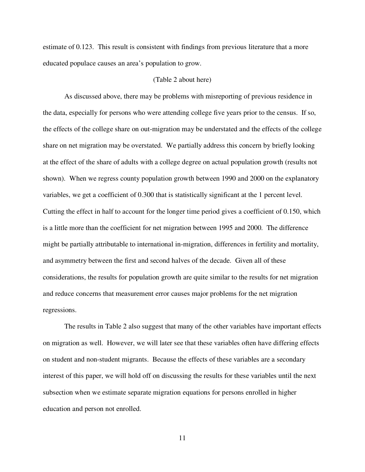estimate of 0.123. This result is consistent with findings from previous literature that a more educated populace causes an area's population to grow.

## (Table 2 about here)

As discussed above, there may be problems with misreporting of previous residence in the data, especially for persons who were attending college five years prior to the census. If so, the effects of the college share on out-migration may be understated and the effects of the college share on net migration may be overstated. We partially address this concern by briefly looking at the effect of the share of adults with a college degree on actual population growth (results not shown). When we regress county population growth between 1990 and 2000 on the explanatory variables, we get a coefficient of 0.300 that is statistically significant at the 1 percent level. Cutting the effect in half to account for the longer time period gives a coefficient of 0.150, which is a little more than the coefficient for net migration between 1995 and 2000. The difference might be partially attributable to international in-migration, differences in fertility and mortality, and asymmetry between the first and second halves of the decade. Given all of these considerations, the results for population growth are quite similar to the results for net migration and reduce concerns that measurement error causes major problems for the net migration regressions.

The results in Table 2 also suggest that many of the other variables have important effects on migration as well. However, we will later see that these variables often have differing effects on student and non-student migrants. Because the effects of these variables are a secondary interest of this paper, we will hold off on discussing the results for these variables until the next subsection when we estimate separate migration equations for persons enrolled in higher education and person not enrolled.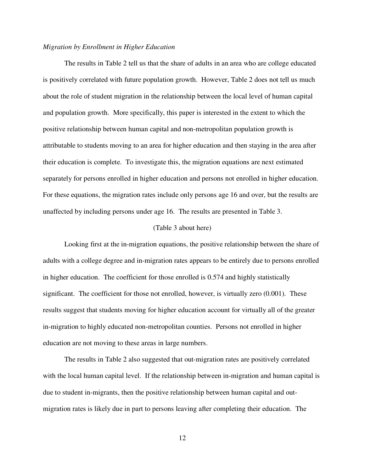#### *Migration by Enrollment in Higher Education*

The results in Table 2 tell us that the share of adults in an area who are college educated is positively correlated with future population growth. However, Table 2 does not tell us much about the role of student migration in the relationship between the local level of human capital and population growth. More specifically, this paper is interested in the extent to which the positive relationship between human capital and non-metropolitan population growth is attributable to students moving to an area for higher education and then staying in the area after their education is complete. To investigate this, the migration equations are next estimated separately for persons enrolled in higher education and persons not enrolled in higher education. For these equations, the migration rates include only persons age 16 and over, but the results are unaffected by including persons under age 16. The results are presented in Table 3.

#### (Table 3 about here)

 Looking first at the in-migration equations, the positive relationship between the share of adults with a college degree and in-migration rates appears to be entirely due to persons enrolled in higher education. The coefficient for those enrolled is 0.574 and highly statistically significant. The coefficient for those not enrolled, however, is virtually zero  $(0.001)$ . These results suggest that students moving for higher education account for virtually all of the greater in-migration to highly educated non-metropolitan counties. Persons not enrolled in higher education are not moving to these areas in large numbers.

 The results in Table 2 also suggested that out-migration rates are positively correlated with the local human capital level. If the relationship between in-migration and human capital is due to student in-migrants, then the positive relationship between human capital and outmigration rates is likely due in part to persons leaving after completing their education. The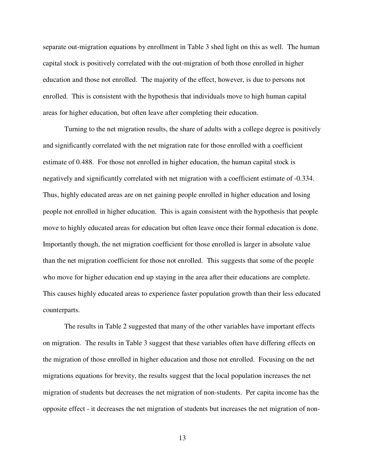separate out-migration equations by enrollment in Table 3 shed light on this as well. The human capital stock is positively correlated with the out-migration of both those enrolled in higher education and those not enrolled. The majority of the effect, however, is due to persons not enrolled. This is consistent with the hypothesis that individuals move to high human capital areas for higher education, but often leave after completing their education.

 Turning to the net migration results, the share of adults with a college degree is positively and significantly correlated with the net migration rate for those enrolled with a coefficient estimate of 0.488. For those not enrolled in higher education, the human capital stock is negatively and significantly correlated with net migration with a coefficient estimate of -0.334. Thus, highly educated areas are on net gaining people enrolled in higher education and losing people not enrolled in higher education. This is again consistent with the hypothesis that people move to highly educated areas for education but often leave once their formal education is done. Importantly though, the net migration coefficient for those enrolled is larger in absolute value than the net migration coefficient for those not enrolled. This suggests that some of the people who move for higher education end up staying in the area after their educations are complete. This causes highly educated areas to experience faster population growth than their less educated counterparts.

 The results in Table 2 suggested that many of the other variables have important effects on migration. The results in Table 3 suggest that these variables often have differing effects on the migration of those enrolled in higher education and those not enrolled. Focusing on the net migrations equations for brevity, the results suggest that the local population increases the net migration of students but decreases the net migration of non-students. Per capita income has the opposite effect - it decreases the net migration of students but increases the net migration of non-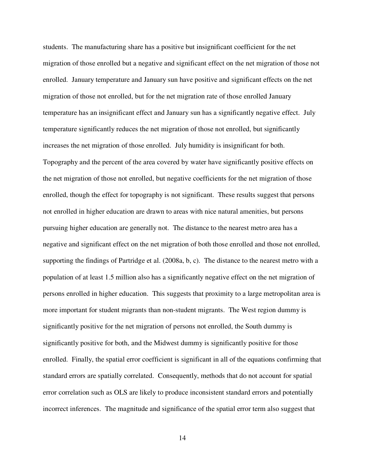students. The manufacturing share has a positive but insignificant coefficient for the net migration of those enrolled but a negative and significant effect on the net migration of those not enrolled. January temperature and January sun have positive and significant effects on the net migration of those not enrolled, but for the net migration rate of those enrolled January temperature has an insignificant effect and January sun has a significantly negative effect. July temperature significantly reduces the net migration of those not enrolled, but significantly increases the net migration of those enrolled. July humidity is insignificant for both. Topography and the percent of the area covered by water have significantly positive effects on the net migration of those not enrolled, but negative coefficients for the net migration of those enrolled, though the effect for topography is not significant. These results suggest that persons not enrolled in higher education are drawn to areas with nice natural amenities, but persons pursuing higher education are generally not. The distance to the nearest metro area has a negative and significant effect on the net migration of both those enrolled and those not enrolled, supporting the findings of Partridge et al. (2008a, b, c). The distance to the nearest metro with a population of at least 1.5 million also has a significantly negative effect on the net migration of persons enrolled in higher education. This suggests that proximity to a large metropolitan area is more important for student migrants than non-student migrants. The West region dummy is significantly positive for the net migration of persons not enrolled, the South dummy is significantly positive for both, and the Midwest dummy is significantly positive for those enrolled. Finally, the spatial error coefficient is significant in all of the equations confirming that standard errors are spatially correlated. Consequently, methods that do not account for spatial error correlation such as OLS are likely to produce inconsistent standard errors and potentially incorrect inferences. The magnitude and significance of the spatial error term also suggest that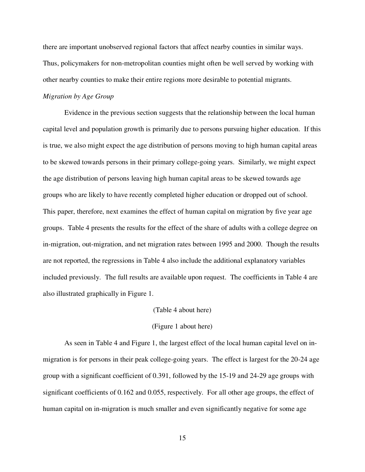there are important unobserved regional factors that affect nearby counties in similar ways. Thus, policymakers for non-metropolitan counties might often be well served by working with other nearby counties to make their entire regions more desirable to potential migrants.

## *Migration by Age Group*

 Evidence in the previous section suggests that the relationship between the local human capital level and population growth is primarily due to persons pursuing higher education. If this is true, we also might expect the age distribution of persons moving to high human capital areas to be skewed towards persons in their primary college-going years. Similarly, we might expect the age distribution of persons leaving high human capital areas to be skewed towards age groups who are likely to have recently completed higher education or dropped out of school. This paper, therefore, next examines the effect of human capital on migration by five year age groups. Table 4 presents the results for the effect of the share of adults with a college degree on in-migration, out-migration, and net migration rates between 1995 and 2000. Though the results are not reported, the regressions in Table 4 also include the additional explanatory variables included previously. The full results are available upon request. The coefficients in Table 4 are also illustrated graphically in Figure 1.

#### (Table 4 about here)

## (Figure 1 about here)

 As seen in Table 4 and Figure 1, the largest effect of the local human capital level on inmigration is for persons in their peak college-going years. The effect is largest for the 20-24 age group with a significant coefficient of 0.391, followed by the 15-19 and 24-29 age groups with significant coefficients of 0.162 and 0.055, respectively. For all other age groups, the effect of human capital on in-migration is much smaller and even significantly negative for some age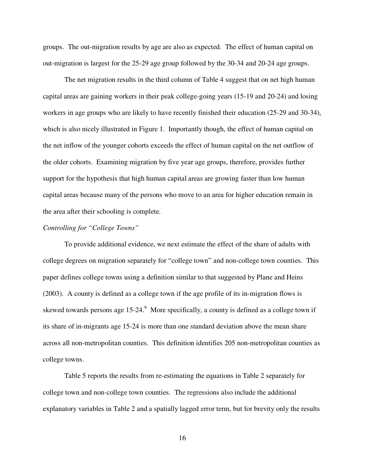groups. The out-migration results by age are also as expected. The effect of human capital on out-migration is largest for the 25-29 age group followed by the 30-34 and 20-24 age groups.

The net migration results in the third column of Table 4 suggest that on net high human capital areas are gaining workers in their peak college-going years (15-19 and 20-24) and losing workers in age groups who are likely to have recently finished their education (25-29 and 30-34), which is also nicely illustrated in Figure 1. Importantly though, the effect of human capital on the net inflow of the younger cohorts exceeds the effect of human capital on the net outflow of the older cohorts. Examining migration by five year age groups, therefore, provides further support for the hypothesis that high human capital areas are growing faster than low human capital areas because many of the persons who move to an area for higher education remain in the area after their schooling is complete.

## *Controlling for "College Towns"*

To provide additional evidence, we next estimate the effect of the share of adults with college degrees on migration separately for "college town" and non-college town counties. This paper defines college towns using a definition similar to that suggested by Plane and Heins (2003). A county is defined as a college town if the age profile of its in-migration flows is skewed towards persons age  $15{\text -}24$ . More specifically, a county is defined as a college town if its share of in-migrants age 15-24 is more than one standard deviation above the mean share across all non-metropolitan counties. This definition identifies 205 non-metropolitan counties as college towns.

Table 5 reports the results from re-estimating the equations in Table 2 separately for college town and non-college town counties. The regressions also include the additional explanatory variables in Table 2 and a spatially lagged error term, but for brevity only the results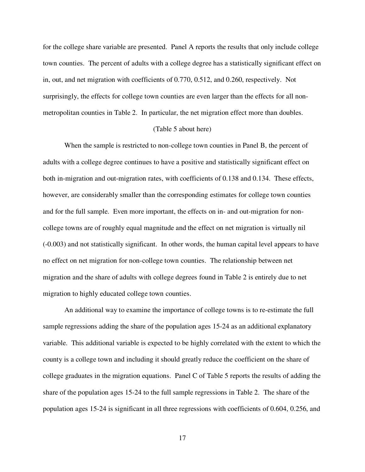for the college share variable are presented. Panel A reports the results that only include college town counties. The percent of adults with a college degree has a statistically significant effect on in, out, and net migration with coefficients of 0.770, 0.512, and 0.260, respectively. Not surprisingly, the effects for college town counties are even larger than the effects for all nonmetropolitan counties in Table 2. In particular, the net migration effect more than doubles.

#### (Table 5 about here)

When the sample is restricted to non-college town counties in Panel B, the percent of adults with a college degree continues to have a positive and statistically significant effect on both in-migration and out-migration rates, with coefficients of 0.138 and 0.134. These effects, however, are considerably smaller than the corresponding estimates for college town counties and for the full sample. Even more important, the effects on in- and out-migration for noncollege towns are of roughly equal magnitude and the effect on net migration is virtually nil (-0.003) and not statistically significant. In other words, the human capital level appears to have no effect on net migration for non-college town counties. The relationship between net migration and the share of adults with college degrees found in Table 2 is entirely due to net migration to highly educated college town counties.

An additional way to examine the importance of college towns is to re-estimate the full sample regressions adding the share of the population ages 15-24 as an additional explanatory variable. This additional variable is expected to be highly correlated with the extent to which the county is a college town and including it should greatly reduce the coefficient on the share of college graduates in the migration equations. Panel C of Table 5 reports the results of adding the share of the population ages 15-24 to the full sample regressions in Table 2. The share of the population ages 15-24 is significant in all three regressions with coefficients of 0.604, 0.256, and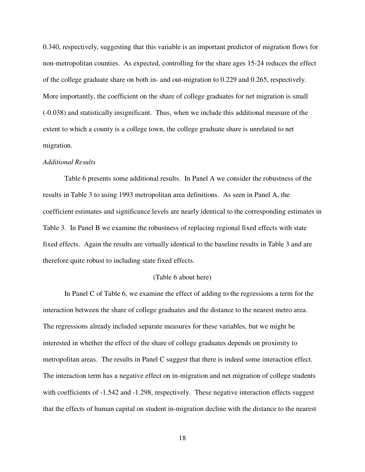0.340, respectively, suggesting that this variable is an important predictor of migration flows for non-metropolitan counties. As expected, controlling for the share ages 15-24 reduces the effect of the college graduate share on both in- and out-migration to 0.229 and 0.265, respectively. More importantly, the coefficient on the share of college graduates for net migration is small (-0.038) and statistically insignificant. Thus, when we include this additional measure of the extent to which a county is a college town, the college graduate share is unrelated to net migration.

## *Additional Results*

Table 6 presents some additional results. In Panel A we consider the robustness of the results in Table 3 to using 1993 metropolitan area definitions. As seen in Panel A, the coefficient estimates and significance levels are nearly identical to the corresponding estimates in Table 3. In Panel B we examine the robustness of replacing regional fixed effects with state fixed effects. Again the results are virtually identical to the baseline results in Table 3 and are therefore quite robust to including state fixed effects.

#### (Table 6 about here)

In Panel C of Table 6, we examine the effect of adding to the regressions a term for the interaction between the share of college graduates and the distance to the nearest metro area. The regressions already included separate measures for these variables, but we might be interested in whether the effect of the share of college graduates depends on proximity to metropolitan areas. The results in Panel C suggest that there is indeed some interaction effect. The interaction term has a negative effect on in-migration and net migration of college students with coefficients of  $-1.542$  and  $-1.298$ , respectively. These negative interaction effects suggest that the effects of human capital on student in-migration decline with the distance to the nearest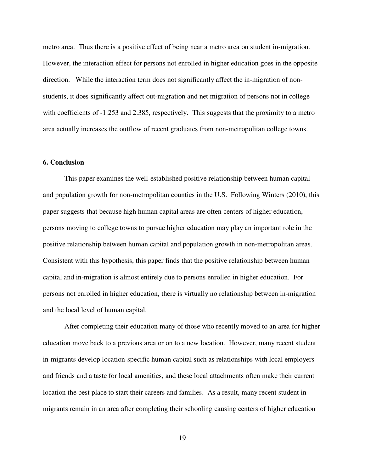metro area. Thus there is a positive effect of being near a metro area on student in-migration. However, the interaction effect for persons not enrolled in higher education goes in the opposite direction. While the interaction term does not significantly affect the in-migration of nonstudents, it does significantly affect out-migration and net migration of persons not in college with coefficients of  $-1.253$  and 2.385, respectively. This suggests that the proximity to a metro area actually increases the outflow of recent graduates from non-metropolitan college towns.

## **6. Conclusion**

This paper examines the well-established positive relationship between human capital and population growth for non-metropolitan counties in the U.S. Following Winters (2010), this paper suggests that because high human capital areas are often centers of higher education, persons moving to college towns to pursue higher education may play an important role in the positive relationship between human capital and population growth in non-metropolitan areas. Consistent with this hypothesis, this paper finds that the positive relationship between human capital and in-migration is almost entirely due to persons enrolled in higher education. For persons not enrolled in higher education, there is virtually no relationship between in-migration and the local level of human capital.

After completing their education many of those who recently moved to an area for higher education move back to a previous area or on to a new location. However, many recent student in-migrants develop location-specific human capital such as relationships with local employers and friends and a taste for local amenities, and these local attachments often make their current location the best place to start their careers and families. As a result, many recent student inmigrants remain in an area after completing their schooling causing centers of higher education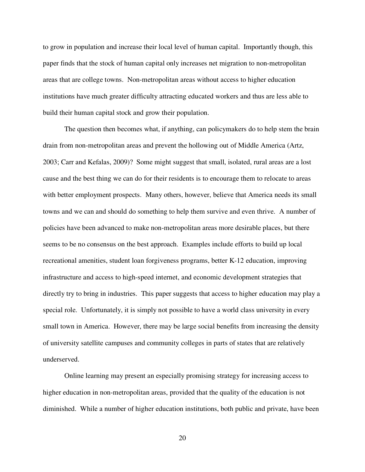to grow in population and increase their local level of human capital. Importantly though, this paper finds that the stock of human capital only increases net migration to non-metropolitan areas that are college towns. Non-metropolitan areas without access to higher education institutions have much greater difficulty attracting educated workers and thus are less able to build their human capital stock and grow their population.

The question then becomes what, if anything, can policymakers do to help stem the brain drain from non-metropolitan areas and prevent the hollowing out of Middle America (Artz, 2003; Carr and Kefalas, 2009)? Some might suggest that small, isolated, rural areas are a lost cause and the best thing we can do for their residents is to encourage them to relocate to areas with better employment prospects. Many others, however, believe that America needs its small towns and we can and should do something to help them survive and even thrive. A number of policies have been advanced to make non-metropolitan areas more desirable places, but there seems to be no consensus on the best approach. Examples include efforts to build up local recreational amenities, student loan forgiveness programs, better K-12 education, improving infrastructure and access to high-speed internet, and economic development strategies that directly try to bring in industries. This paper suggests that access to higher education may play a special role. Unfortunately, it is simply not possible to have a world class university in every small town in America. However, there may be large social benefits from increasing the density of university satellite campuses and community colleges in parts of states that are relatively underserved.

Online learning may present an especially promising strategy for increasing access to higher education in non-metropolitan areas, provided that the quality of the education is not diminished. While a number of higher education institutions, both public and private, have been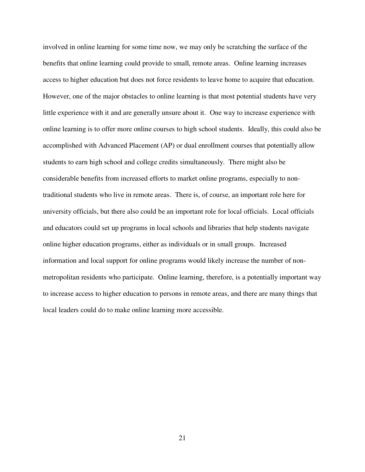involved in online learning for some time now, we may only be scratching the surface of the benefits that online learning could provide to small, remote areas. Online learning increases access to higher education but does not force residents to leave home to acquire that education. However, one of the major obstacles to online learning is that most potential students have very little experience with it and are generally unsure about it. One way to increase experience with online learning is to offer more online courses to high school students. Ideally, this could also be accomplished with Advanced Placement (AP) or dual enrollment courses that potentially allow students to earn high school and college credits simultaneously. There might also be considerable benefits from increased efforts to market online programs, especially to nontraditional students who live in remote areas. There is, of course, an important role here for university officials, but there also could be an important role for local officials. Local officials and educators could set up programs in local schools and libraries that help students navigate online higher education programs, either as individuals or in small groups. Increased information and local support for online programs would likely increase the number of nonmetropolitan residents who participate. Online learning, therefore, is a potentially important way to increase access to higher education to persons in remote areas, and there are many things that local leaders could do to make online learning more accessible.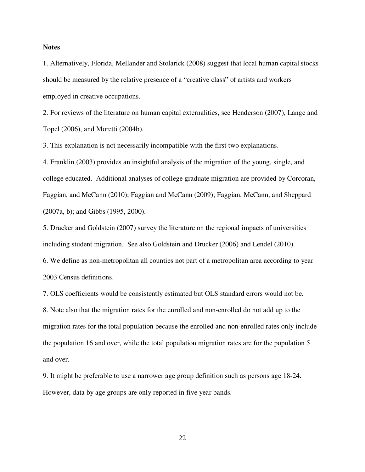## **Notes**

1. Alternatively, Florida, Mellander and Stolarick (2008) suggest that local human capital stocks should be measured by the relative presence of a "creative class" of artists and workers employed in creative occupations.

2. For reviews of the literature on human capital externalities, see Henderson (2007), Lange and Topel (2006), and Moretti (2004b).

3. This explanation is not necessarily incompatible with the first two explanations.

4. Franklin (2003) provides an insightful analysis of the migration of the young, single, and college educated. Additional analyses of college graduate migration are provided by Corcoran, Faggian, and McCann (2010); Faggian and McCann (2009); Faggian, McCann, and Sheppard (2007a, b); and Gibbs (1995, 2000).

5. Drucker and Goldstein (2007) survey the literature on the regional impacts of universities including student migration. See also Goldstein and Drucker (2006) and Lendel (2010). 6. We define as non-metropolitan all counties not part of a metropolitan area according to year 2003 Census definitions.

7. OLS coefficients would be consistently estimated but OLS standard errors would not be.

8. Note also that the migration rates for the enrolled and non-enrolled do not add up to the migration rates for the total population because the enrolled and non-enrolled rates only include the population 16 and over, while the total population migration rates are for the population 5 and over.

9. It might be preferable to use a narrower age group definition such as persons age 18-24. However, data by age groups are only reported in five year bands.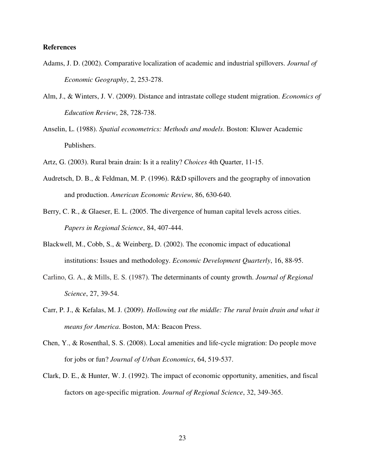## **References**

- Adams, J. D. (2002). Comparative localization of academic and industrial spillovers. *Journal of Economic Geography*, 2, 253-278.
- Alm, J., & Winters, J. V. (2009). Distance and intrastate college student migration. *Economics of Education Review*, 28, 728-738.
- Anselin, L. (1988). *Spatial econometrics: Methods and models*. Boston: Kluwer Academic Publishers.
- Artz, G. (2003). Rural brain drain: Is it a reality? *Choices* 4th Quarter, 11-15.
- Audretsch, D. B., & Feldman, M. P. (1996). R&D spillovers and the geography of innovation and production. *American Economic Review*, 86, 630-640.
- Berry, C. R., & Glaeser, E. L. (2005. The divergence of human capital levels across cities. *Papers in Regional Science*, 84, 407-444.
- Blackwell, M., Cobb, S., & Weinberg, D. (2002). The economic impact of educational institutions: Issues and methodology. *Economic Development Quarterly*, 16, 88-95.
- Carlino, G. A., & Mills, E. S. (1987). The determinants of county growth. *Journal of Regional Science*, 27, 39-54.
- Carr, P. J., & Kefalas, M. J. (2009). *Hollowing out the middle: The rural brain drain and what it means for America*. Boston, MA: Beacon Press.
- Chen, Y., & Rosenthal, S. S. (2008). Local amenities and life-cycle migration: Do people move for jobs or fun? *Journal of Urban Economics*, 64, 519-537.
- Clark, D. E., & Hunter, W. J. (1992). The impact of economic opportunity, amenities, and fiscal factors on age-specific migration. *Journal of Regional Science*, 32, 349-365.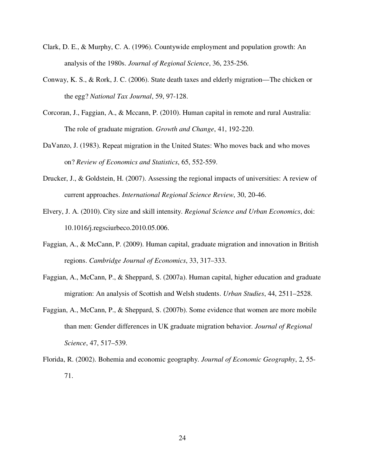- Clark, D. E., & Murphy, C. A. (1996). Countywide employment and population growth: An analysis of the 1980s. *Journal of Regional Science*, 36, 235-256.
- Conway, K. S., & Rork, J. C. (2006). State death taxes and elderly migration—The chicken or the egg? *National Tax Journal*, 59, 97-128.
- Corcoran, J., Faggian, A., & Mccann, P. (2010). Human capital in remote and rural Australia: The role of graduate migration. *Growth and Change*, 41, 192-220.
- DaVanzo, J. (1983). Repeat migration in the United States: Who moves back and who moves on? *Review of Economics and Statistics*, 65, 552-559.
- Drucker, J., & Goldstein, H. (2007). Assessing the regional impacts of universities: A review of current approaches. *International Regional Science Review*, 30, 20-46.
- Elvery, J. A. (2010). City size and skill intensity. *Regional Science and Urban Economics*, doi: 10.1016/j.regsciurbeco.2010.05.006.
- Faggian, A., & McCann, P. (2009). Human capital, graduate migration and innovation in British regions. *Cambridge Journal of Economics*, 33, 317–333.
- Faggian, A., McCann, P., & Sheppard, S. (2007a). Human capital, higher education and graduate migration: An analysis of Scottish and Welsh students. *Urban Studies*, 44, 2511–2528.
- Faggian, A., McCann, P., & Sheppard, S. (2007b). Some evidence that women are more mobile than men: Gender differences in UK graduate migration behavior. *Journal of Regional Science*, 47, 517–539.
- Florida, R. (2002). Bohemia and economic geography. *Journal of Economic Geography*, 2, 55- 71.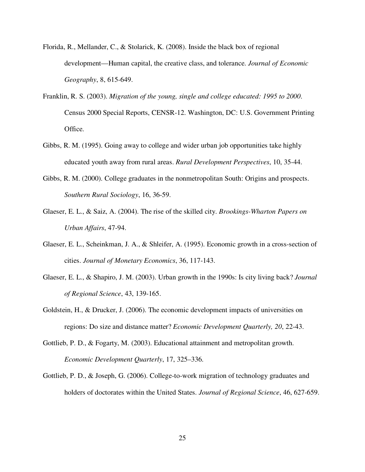- Florida, R., Mellander, C., & Stolarick, K. (2008). Inside the black box of regional development—Human capital, the creative class, and tolerance. *Journal of Economic Geography*, 8, 615-649.
- Franklin, R. S. (2003). *Migration of the young, single and college educated: 1995 to 2000*. Census 2000 Special Reports, CENSR-12. Washington, DC: U.S. Government Printing Office.
- Gibbs, R. M. (1995). Going away to college and wider urban job opportunities take highly educated youth away from rural areas. *Rural Development Perspectives*, 10, 35-44.
- Gibbs, R. M. (2000). College graduates in the nonmetropolitan South: Origins and prospects. *Southern Rural Sociology*, 16, 36-59.
- Glaeser, E. L., & Saiz, A. (2004). The rise of the skilled city. *Brookings-Wharton Papers on Urban Affairs*, 47-94.
- Glaeser, E. L., Scheinkman, J. A., & Shleifer, A. (1995). Economic growth in a cross-section of cities. *Journal of Monetary Economics*, 36, 117-143.
- Glaeser, E. L., & Shapiro, J. M. (2003). Urban growth in the 1990s: Is city living back? *Journal of Regional Science*, 43, 139-165.
- Goldstein, H., & Drucker, J. (2006). The economic development impacts of universities on regions: Do size and distance matter? *Economic Development Quarterly, 20*, 22-43.
- Gottlieb, P. D., & Fogarty, M. (2003). Educational attainment and metropolitan growth. *Economic Development Quarterly*, 17, 325–336.
- Gottlieb, P. D., & Joseph, G. (2006). College-to-work migration of technology graduates and holders of doctorates within the United States. *Journal of Regional Science*, 46, 627-659.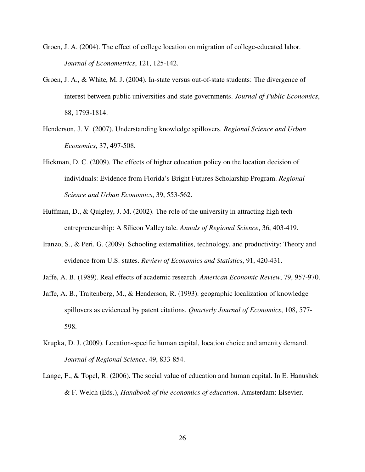- Groen, J. A. (2004). The effect of college location on migration of college-educated labor. *Journal of Econometrics*, 121, 125-142.
- Groen, J. A., & White, M. J. (2004). In-state versus out-of-state students: The divergence of interest between public universities and state governments. *Journal of Public Economics*, 88, 1793-1814.
- Henderson, J. V. (2007). Understanding knowledge spillovers. *Regional Science and Urban Economics*, 37, 497-508.
- Hickman, D. C. (2009). The effects of higher education policy on the location decision of individuals: Evidence from Florida's Bright Futures Scholarship Program. *Regional Science and Urban Economics*, 39, 553-562.
- Huffman, D., & Quigley, J. M. (2002). The role of the university in attracting high tech entrepreneurship: A Silicon Valley tale. *Annals of Regional Science*, 36, 403-419.
- Iranzo, S., & Peri, G. (2009). Schooling externalities, technology, and productivity: Theory and evidence from U.S. states. *Review of Economics and Statistics*, 91, 420-431.
- Jaffe, A. B. (1989). Real effects of academic research. *American Economic Review*, 79, 957-970.
- Jaffe, A. B., Trajtenberg, M., & Henderson, R. (1993). geographic localization of knowledge spillovers as evidenced by patent citations. *Quarterly Journal of Economics*, 108, 577- 598.
- Krupka, D. J. (2009). Location-specific human capital, location choice and amenity demand. *Journal of Regional Science*, 49, 833-854.
- Lange, F., & Topel, R. (2006). The social value of education and human capital. In E. Hanushek & F. Welch (Eds.), *Handbook of the economics of education*. Amsterdam: Elsevier.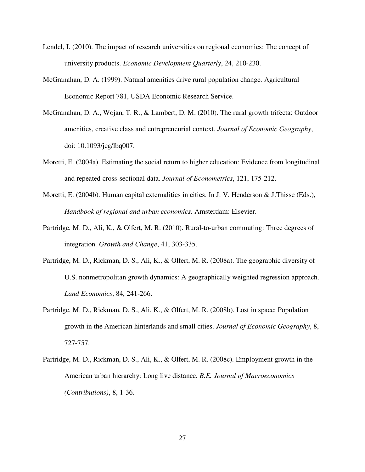- Lendel, I. (2010). The impact of research universities on regional economies: The concept of university products. *Economic Development Quarterly*, 24, 210-230.
- McGranahan, D. A. (1999). Natural amenities drive rural population change. Agricultural Economic Report 781, USDA Economic Research Service.
- McGranahan, D. A., Wojan, T. R., & Lambert, D. M. (2010). The rural growth trifecta: Outdoor amenities, creative class and entrepreneurial context. *Journal of Economic Geography*, doi: 10.1093/jeg/lbq007.
- Moretti, E. (2004a). Estimating the social return to higher education: Evidence from longitudinal and repeated cross-sectional data. *Journal of Econometrics*, 121, 175-212.
- Moretti, E. (2004b). Human capital externalities in cities. In J. V. Henderson & J.Thisse (Eds.), *Handbook of regional and urban economics.* Amsterdam: Elsevier.
- Partridge, M. D., Ali, K., & Olfert, M. R. (2010). Rural-to-urban commuting: Three degrees of integration. *Growth and Change*, 41, 303-335.
- Partridge, M. D., Rickman, D. S., Ali, K., & Olfert, M. R. (2008a). The geographic diversity of U.S. nonmetropolitan growth dynamics: A geographically weighted regression approach. *Land Economics*, 84, 241-266.
- Partridge, M. D., Rickman, D. S., Ali, K., & Olfert, M. R. (2008b). Lost in space: Population growth in the American hinterlands and small cities. *Journal of Economic Geography*, 8, 727-757.
- Partridge, M. D., Rickman, D. S., Ali, K., & Olfert, M. R. (2008c). Employment growth in the American urban hierarchy: Long live distance. *B.E. Journal of Macroeconomics (Contributions)*, 8, 1-36.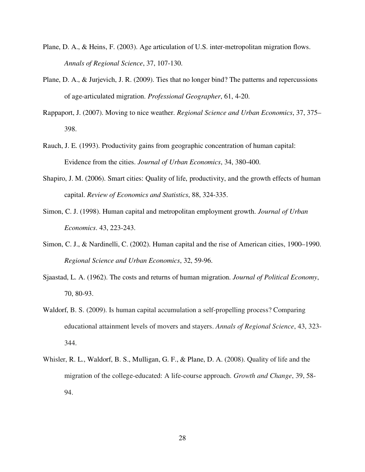- Plane, D. A., & Heins, F. (2003). Age articulation of U.S. inter-metropolitan migration flows. *Annals of Regional Science*, 37, 107-130.
- Plane, D. A., & Jurjevich, J. R. (2009). Ties that no longer bind? The patterns and repercussions of age-articulated migration. *Professional Geographer*, 61, 4-20.
- Rappaport, J. (2007). Moving to nice weather. *Regional Science and Urban Economics*, 37, 375– 398.
- Rauch, J. E. (1993). Productivity gains from geographic concentration of human capital: Evidence from the cities. *Journal of Urban Economics*, 34, 380-400.
- Shapiro, J. M. (2006). Smart cities: Quality of life, productivity, and the growth effects of human capital. *Review of Economics and Statistics*, 88, 324-335.
- Simon, C. J. (1998). Human capital and metropolitan employment growth. *Journal of Urban Economics*. 43, 223-243.
- Simon, C. J., & Nardinelli, C. (2002). Human capital and the rise of American cities, 1900–1990. *Regional Science and Urban Economics*, 32, 59-96.
- Sjaastad, L. A. (1962). The costs and returns of human migration. *Journal of Political Economy*, 70, 80-93.
- Waldorf, B. S. (2009). Is human capital accumulation a self-propelling process? Comparing educational attainment levels of movers and stayers. *Annals of Regional Science*, 43, 323- 344.
- Whisler, R. L., Waldorf, B. S., Mulligan, G. F., & Plane, D. A. (2008). Quality of life and the migration of the college-educated: A life-course approach. *Growth and Change*, 39, 58- 94.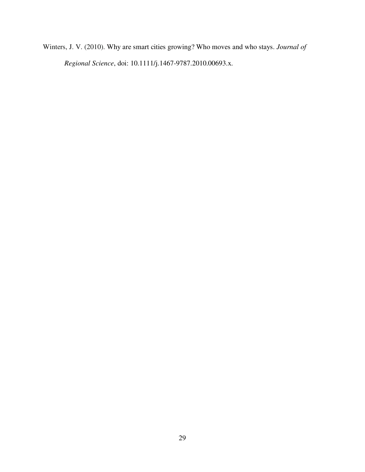Winters, J. V. (2010). Why are smart cities growing? Who moves and who stays. *Journal of Regional Science*, doi: 10.1111/j.1467-9787.2010.00693.x.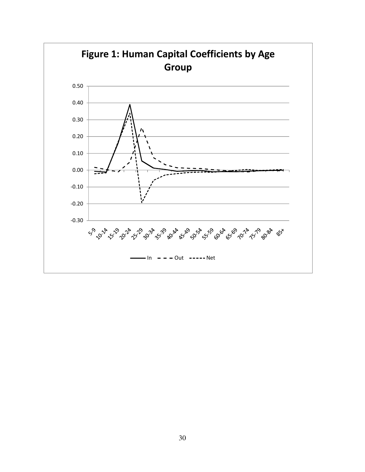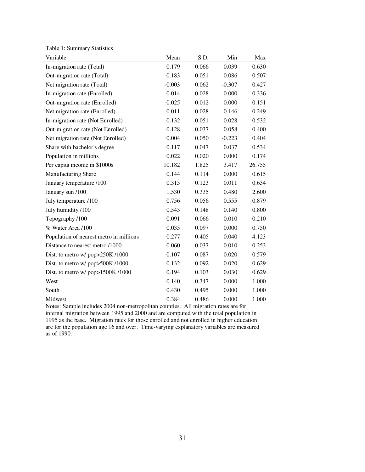Table 1: Summary Statistics

| Variable                                | Mean     | S.D.  | Min      | Max    |
|-----------------------------------------|----------|-------|----------|--------|
| In-migration rate (Total)               | 0.179    | 0.066 | 0.039    | 0.630  |
| Out-migration rate (Total)              | 0.183    | 0.051 | 0.086    | 0.507  |
| Net migration rate (Total)              | $-0.003$ | 0.062 | $-0.307$ | 0.427  |
| In-migration rate (Enrolled)            | 0.014    | 0.028 | 0.000    | 0.336  |
| Out-migration rate (Enrolled)           | 0.025    | 0.012 | 0.000    | 0.151  |
| Net migration rate (Enrolled)           | $-0.011$ | 0.028 | $-0.146$ | 0.249  |
| In-migration rate (Not Enrolled)        | 0.132    | 0.051 | 0.028    | 0.532  |
| Out-migration rate (Not Enrolled)       | 0.128    | 0.037 | 0.058    | 0.400  |
| Net migration rate (Not Enrolled)       | 0.004    | 0.050 | $-0.223$ | 0.404  |
| Share with bachelor's degree            | 0.117    | 0.047 | 0.037    | 0.534  |
| Population in millions                  | 0.022    | 0.020 | 0.000    | 0.174  |
| Per capita income in \$1000s            | 10.182   | 1.825 | 3.417    | 26.755 |
| Manufacturing Share                     | 0.144    | 0.114 | 0.000    | 0.615  |
| January temperature /100                | 0.315    | 0.123 | 0.011    | 0.634  |
| January sun /100                        | 1.530    | 0.335 | 0.480    | 2.600  |
| July temperature /100                   | 0.756    | 0.056 | 0.555    | 0.879  |
| July humidity /100                      | 0.543    | 0.148 | 0.140    | 0.800  |
| Topography /100                         | 0.091    | 0.066 | 0.010    | 0.210  |
| % Water Area /100                       | 0.035    | 0.097 | 0.000    | 0.750  |
| Population of nearest metro in millions | 0.277    | 0.405 | 0.040    | 4.123  |
| Distance to nearest metro /1000         | 0.060    | 0.037 | 0.010    | 0.253  |
| Dist. to metro w/ pop>250K/1000         | 0.107    | 0.087 | 0.020    | 0.579  |
| Dist. to metro w/ pop>500K/1000         | 0.132    | 0.092 | 0.020    | 0.629  |
| Dist. to metro w/ $pop>1500K/1000$      | 0.194    | 0.103 | 0.030    | 0.629  |
| West                                    | 0.140    | 0.347 | 0.000    | 1.000  |
| South                                   | 0.430    | 0.495 | 0.000    | 1.000  |
| Midwest                                 | 0.384    | 0.486 | 0.000    | 1.000  |

Notes: Sample includes 2004 non-metropolitan counties. All migration rates are for internal migration between 1995 and 2000 and are computed with the total population in 1995 as the base. Migration rates for those enrolled and not enrolled in higher education are for the population age 16 and over. Time-varying explanatory variables are measured as of 1990.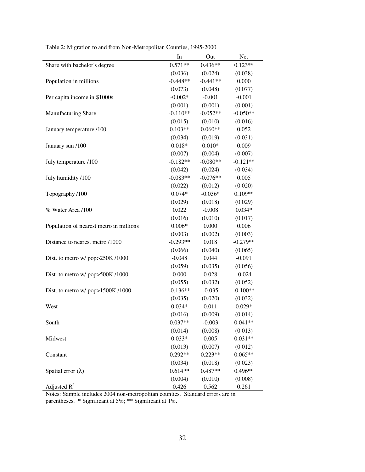|                                         | In         | Out        | Net        |
|-----------------------------------------|------------|------------|------------|
| Share with bachelor's degree            | $0.571**$  | $0.436**$  | $0.123**$  |
|                                         | (0.036)    | (0.024)    | (0.038)    |
| Population in millions                  | $-0.448**$ | $-0.441**$ | 0.000      |
|                                         | (0.073)    | (0.048)    | (0.077)    |
| Per capita income in \$1000s            | $-0.002*$  | $-0.001$   | $-0.001$   |
|                                         | (0.001)    | (0.001)    | (0.001)    |
| Manufacturing Share                     | $-0.110**$ | $-0.052**$ | $-0.050**$ |
|                                         | (0.015)    | (0.010)    | (0.016)    |
| January temperature /100                | $0.103**$  | $0.060**$  | 0.052      |
|                                         | (0.034)    | (0.019)    | (0.031)    |
| January sun /100                        | $0.018*$   | $0.010*$   | 0.009      |
|                                         | (0.007)    | (0.004)    | (0.007)    |
| July temperature /100                   | $-0.182**$ | $-0.080**$ | $-0.121**$ |
|                                         | (0.042)    | (0.024)    | (0.034)    |
| July humidity /100                      | $-0.083**$ | $-0.076**$ | 0.005      |
|                                         | (0.022)    | (0.012)    | (0.020)    |
| Topography /100                         | $0.074*$   | $-0.036*$  | $0.109**$  |
|                                         | (0.029)    | (0.018)    | (0.029)    |
| % Water Area /100                       | 0.022      | $-0.008$   | $0.034*$   |
|                                         | (0.016)    | (0.010)    | (0.017)    |
| Population of nearest metro in millions | $0.006*$   | 0.000      | 0.006      |
|                                         | (0.003)    | (0.002)    | (0.003)    |
| Distance to nearest metro /1000         | $-0.293**$ | 0.018      | $-0.279**$ |
|                                         | (0.066)    | (0.040)    | (0.065)    |
| Dist. to metro w/ pop>250K/1000         | $-0.048$   | 0.044      | $-0.091$   |
|                                         | (0.059)    | (0.035)    | (0.056)    |
| Dist. to metro w/ pop>500K/1000         | 0.000      | 0.028      | $-0.024$   |
|                                         | (0.055)    | (0.032)    | (0.052)    |
| Dist. to metro w/ pop>1500K/1000        | $-0.136**$ | $-0.035$   | $-0.100**$ |
|                                         | (0.035)    | (0.020)    | (0.032)    |
| West                                    | $0.034*$   | 0.011      | $0.029*$   |
|                                         | (0.016)    | (0.009)    | (0.014)    |
| South                                   | $0.037**$  | $-0.003$   | $0.041**$  |
|                                         | (0.014)    | (0.008)    | (0.013)    |
| Midwest                                 | $0.033*$   | 0.005      | $0.031**$  |
|                                         | (0.013)    | (0.007)    | (0.012)    |
| Constant                                | $0.292**$  | $0.223**$  | $0.065**$  |
|                                         | (0.034)    | (0.018)    | (0.023)    |
| Spatial error $(\lambda)$               | $0.614**$  | $0.487**$  | 0.496**    |
|                                         | (0.004)    | (0.010)    | (0.008)    |
| Adjusted $R^2$                          | 0.426      | 0.562      | 0.261      |

Table 2: Migration to and from Non-Metropolitan Counties, 1995-2000

Notes: Sample includes 2004 non-metropolitan counties. Standard errors are in parentheses. \* Significant at 5%; \*\* Significant at 1%.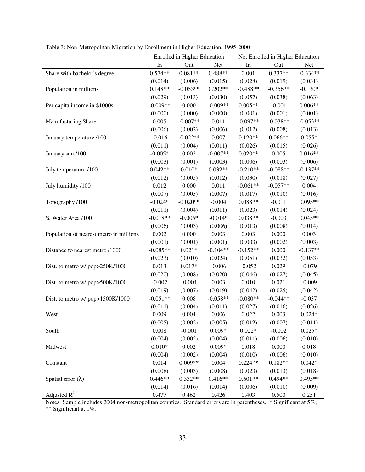|                                         | Enrolled in Higher Education |            |            | Not Enrolled in Higher Education |            |            |  |
|-----------------------------------------|------------------------------|------------|------------|----------------------------------|------------|------------|--|
|                                         | In                           | Out        | Net        | In                               | Out        | Net        |  |
|                                         | $0.574**$                    | $0.081**$  | $0.488**$  | 0.001                            | $0.337**$  | $-0.334**$ |  |
| Share with bachelor's degree            | (0.014)                      | (0.006)    | (0.015)    | (0.028)                          | (0.019)    | (0.031)    |  |
| Population in millions                  | $0.148**$                    | $-0.053**$ | $0.202**$  | $-0.488**$                       | $-0.356**$ | $-0.130*$  |  |
|                                         |                              |            |            |                                  |            |            |  |
|                                         | (0.029)                      | (0.013)    | (0.030)    | (0.057)<br>$0.005**$             | (0.038)    | (0.063)    |  |
| Per capita income in \$1000s            | $-0.009**$                   | 0.000      | $-0.009**$ |                                  | $-0.001$   | $0.006**$  |  |
|                                         | (0.000)                      | (0.000)    | (0.000)    | (0.001)                          | (0.001)    | (0.001)    |  |
| Manufacturing Share                     | 0.005                        | $-0.007**$ | 0.011      | $-0.097**$                       | $-0.038**$ | $-0.053**$ |  |
|                                         | (0.006)                      | (0.002)    | (0.006)    | (0.012)                          | (0.008)    | (0.013)    |  |
| January temperature /100                | $-0.016$                     | $-0.022**$ | 0.007      | $0.120**$                        | $0.066**$  | $0.055*$   |  |
|                                         | (0.011)                      | (0.004)    | (0.011)    | (0.026)                          | (0.015)    | (0.026)    |  |
| January sun /100                        | $-0.005*$                    | 0.002      | $-0.007**$ | $0.020**$                        | 0.005      | $0.016**$  |  |
|                                         | (0.003)                      | (0.001)    | (0.003)    | (0.006)                          | (0.003)    | (0.006)    |  |
| July temperature /100                   | $0.042**$                    | $0.010*$   | $0.032**$  | $-0.210**$                       | $-0.088**$ | $-0.137**$ |  |
|                                         | (0.012)                      | (0.005)    | (0.012)    | (0.030)                          | (0.018)    | (0.027)    |  |
| July humidity /100                      | 0.012                        | 0.000      | 0.011      | $-0.061**$                       | $-0.057**$ | 0.004      |  |
|                                         | (0.007)                      | (0.005)    | (0.007)    | (0.017)                          | (0.010)    | (0.016)    |  |
| Topography /100                         | $-0.024*$                    | $-0.020**$ | $-0.004$   | $0.088**$                        | $-0.011$   | $0.095**$  |  |
|                                         | (0.011)                      | (0.004)    | (0.011)    | (0.023)                          | (0.014)    | (0.024)    |  |
| % Water Area /100                       | $-0.018**$                   | $-0.005*$  | $-0.014*$  | $0.038**$                        | $-0.003$   | $0.045**$  |  |
|                                         | (0.006)                      | (0.003)    | (0.006)    | (0.013)                          | (0.008)    | (0.014)    |  |
| Population of nearest metro in millions | 0.002                        | 0.000      | 0.003      | 0.003                            | 0.000      | 0.003      |  |
|                                         | (0.001)                      | (0.001)    | (0.001)    | (0.003)                          | (0.002)    | (0.003)    |  |
| Distance to nearest metro /1000         | $-0.085**$                   | $0.021*$   | $-0.104**$ | $-0.152**$                       | 0.000      | $-0.137**$ |  |
|                                         | (0.023)                      | (0.010)    | (0.024)    | (0.051)                          | (0.032)    | (0.053)    |  |
| Dist. to metro w/ pop>250K/1000         | 0.013                        | $0.017*$   | $-0.006$   | $-0.052$                         | 0.029      | $-0.079$   |  |
|                                         | (0.020)                      | (0.008)    | (0.020)    | (0.046)                          | (0.027)    | (0.045)    |  |
| Dist. to metro w/ pop>500K/1000         | $-0.002$                     | $-0.004$   | 0.003      | 0.010                            | 0.021      | $-0.009$   |  |
|                                         | (0.019)                      | (0.007)    | (0.019)    | (0.042)                          | (0.025)    | (0.042)    |  |
| Dist. to metro w/ pop>1500K/1000        | $-0.051**$                   | 0.008      | $-0.058**$ | $-0.080**$                       | $-0.044**$ | $-0.037$   |  |
|                                         | (0.011)                      | (0.004)    | (0.011)    | (0.027)                          | (0.016)    | (0.026)    |  |
| West                                    | 0.009                        | 0.004      | 0.006      | 0.022                            | 0.003      | $0.024*$   |  |
|                                         | (0.005)                      | (0.002)    | (0.005)    | (0.012)                          | (0.007)    | (0.011)    |  |
| South                                   | 0.008                        | $-0.001$   | $0.009*$   | $0.022*$                         | $-0.002$   | $0.025*$   |  |
|                                         | (0.004)                      | (0.002)    | (0.004)    | (0.011)                          | (0.006)    | (0.010)    |  |
| Midwest                                 | $0.010*$                     | 0.002      | $0.009*$   | 0.018                            | 0.000      | 0.018      |  |
|                                         | (0.004)                      | (0.002)    | (0.004)    | (0.010)                          | (0.006)    | (0.010)    |  |
| Constant                                | 0.014                        | $0.009**$  | 0.004      | $0.224**$                        | $0.182**$  | $0.042*$   |  |
|                                         | (0.008)                      | (0.003)    | (0.008)    | (0.023)                          | (0.013)    | (0.018)    |  |
| Spatial error $(\lambda)$               | $0.446**$                    | $0.332**$  | $0.416**$  | $0.601**$                        | $0.494**$  | $0.495**$  |  |
|                                         | (0.014)                      | (0.016)    | (0.014)    | (0.006)                          | (0.010)    | (0.009)    |  |
| Adjusted $R^2$                          | 0.477                        | 0.462      | 0.426      | 0.403                            | 0.500      | 0.251      |  |

Table 3: Non-Metropolitan Migration by Enrollment in Higher Education, 1995-2000

Notes: Sample includes 2004 non-metropolitan counties. Standard errors are in parentheses. \* Significant at 5%; \*\* Significant at 1%.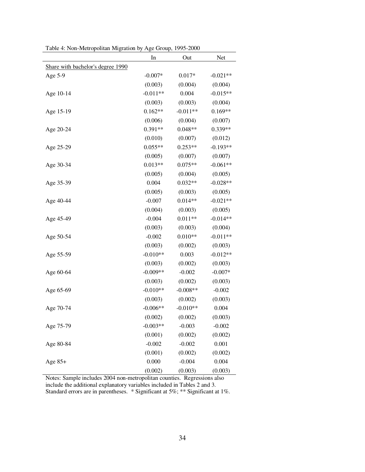|                                   | In         | Out        | Net        |
|-----------------------------------|------------|------------|------------|
| Share with bachelor's degree 1990 |            |            |            |
| Age 5-9                           | $-0.007*$  | $0.017*$   | $-0.021**$ |
|                                   | (0.003)    | (0.004)    | (0.004)    |
| Age 10-14                         | $-0.011**$ | 0.004      | $-0.015**$ |
|                                   | (0.003)    | (0.003)    | (0.004)    |
| Age 15-19                         | $0.162**$  | $-0.011**$ | $0.169**$  |
|                                   | (0.006)    | (0.004)    | (0.007)    |
| Age 20-24                         | $0.391**$  | $0.048**$  | $0.339**$  |
|                                   | (0.010)    | (0.007)    | (0.012)    |
| Age 25-29                         | $0.055**$  | $0.253**$  | $-0.193**$ |
|                                   | (0.005)    | (0.007)    | (0.007)    |
| Age 30-34                         | $0.013**$  | $0.075**$  | $-0.061**$ |
|                                   | (0.005)    | (0.004)    | (0.005)    |
| Age 35-39                         | 0.004      | $0.032**$  | $-0.028**$ |
|                                   | (0.005)    | (0.003)    | (0.005)    |
| Age 40-44                         | $-0.007$   | $0.014**$  | $-0.021**$ |
|                                   | (0.004)    | (0.003)    | (0.005)    |
| Age 45-49                         | $-0.004$   | $0.011**$  | $-0.014**$ |
|                                   | (0.003)    | (0.003)    | (0.004)    |
| Age 50-54                         | $-0.002$   | $0.010**$  | $-0.011**$ |
|                                   | (0.003)    | (0.002)    | (0.003)    |
| Age 55-59                         | $-0.010**$ | 0.003      | $-0.012**$ |
|                                   | (0.003)    | (0.002)    | (0.003)    |
| Age 60-64                         | $-0.009**$ | $-0.002$   | $-0.007*$  |
|                                   | (0.003)    | (0.002)    | (0.003)    |
| Age 65-69                         | $-0.010**$ | $-0.008**$ | $-0.002$   |
|                                   | (0.003)    | (0.002)    | (0.003)    |
| Age 70-74                         | $-0.006**$ | $-0.010**$ | 0.004      |
|                                   | (0.002)    | (0.002)    | (0.003)    |
| Age 75-79                         | $-0.003**$ | $-0.003$   | $-0.002$   |
|                                   | (0.001)    | (0.002)    | (0.002)    |
| Age 80-84                         | $-0.002$   | $-0.002$   | 0.001      |
|                                   | (0.001)    | (0.002)    | (0.002)    |
| Age $85+$                         | 0.000      | $-0.004$   | 0.004      |
|                                   | (0.002)    | (0.003)    | (0.003)    |

Table 4: Non-Metropolitan Migration by Age Group, 1995-2000

Notes: Sample includes 2004 non-metropolitan counties. Regressions also include the additional explanatory variables included in Tables 2 and 3.

Standard errors are in parentheses. \* Significant at 5%; \*\* Significant at 1%.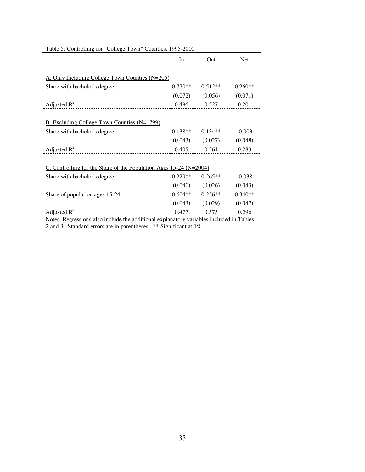|                                                                      | In        | Out       | <b>Net</b> |  |  |  |
|----------------------------------------------------------------------|-----------|-----------|------------|--|--|--|
|                                                                      |           |           |            |  |  |  |
| A. Only Including College Town Counties (N=205)                      |           |           |            |  |  |  |
| Share with bachelor's degree                                         | $0.770**$ | $0.512**$ | $0.260**$  |  |  |  |
|                                                                      | (0.072)   | (0.056)   | (0.071)    |  |  |  |
| Adjusted $R^2$                                                       | 0.496     | 0.527     | 0.201      |  |  |  |
|                                                                      |           |           |            |  |  |  |
| B. Excluding College Town Counties (N=1799)                          |           |           |            |  |  |  |
| Share with bachelor's degree                                         | $0.138**$ | $0.134**$ | $-0.003$   |  |  |  |
|                                                                      | (0.043)   | (0.027)   | (0.048)    |  |  |  |
| Adjusted $R^2$                                                       | 0.405     | 0.561     | 0.283      |  |  |  |
|                                                                      |           |           |            |  |  |  |
| C. Controlling for the Share of the Population Ages $15-24$ (N=2004) |           |           |            |  |  |  |
| Share with bachelor's degree                                         | $0.229**$ | $0.265**$ | $-0.038$   |  |  |  |
|                                                                      | (0.040)   | (0.026)   | (0.043)    |  |  |  |
| Share of population ages 15-24                                       | $0.604**$ | $0.256**$ | $0.340**$  |  |  |  |
|                                                                      | (0.043)   | (0.029)   | (0.047)    |  |  |  |
| Adjusted $R^2$                                                       | 0.477     | 0.575     | 0.296      |  |  |  |

Table 5: Controlling for "College Town" Counties, 1995-2000

Notes: Regressions also include the additional explanatory variables included in Tables 2 and 3. Standard errors are in parentheses. \*\* Significant at 1%.